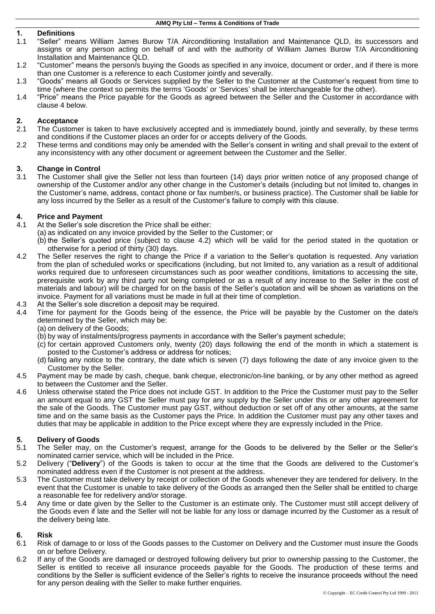## **1. Definitions**

- 1.1 "Seller" means William James Burow T/A Airconditioning Installation and Maintenance QLD, its successors and assigns or any person acting on behalf of and with the authority of William James Burow T/A Airconditioning Installation and Maintenance QLD.
- 1.2 "Customer" means the person/s buying the Goods as specified in any invoice, document or order, and if there is more than one Customer is a reference to each Customer jointly and severally.
- 1.3 "Goods" means all Goods or Services supplied by the Seller to the Customer at the Customer's request from time to time (where the context so permits the terms 'Goods' or 'Services' shall be interchangeable for the other).
- 1.4 "Price" means the Price payable for the Goods as agreed between the Seller and the Customer in accordance with clause [4](#page-0-0) below.

## **2. Acceptance**

- 2.1 The Customer is taken to have exclusively accepted and is immediately bound, jointly and severally, by these terms and conditions if the Customer places an order for or accepts delivery of the Goods.
- 2.2 These terms and conditions may only be amended with the Seller's consent in writing and shall prevail to the extent of any inconsistency with any other document or agreement between the Customer and the Seller.

## **3. Change in Control**

3.1 The Customer shall give the Seller not less than fourteen (14) days prior written notice of any proposed change of ownership of the Customer and/or any other change in the Customer's details (including but not limited to, changes in the Customer's name, address, contact phone or fax number/s, or business practice). The Customer shall be liable for any loss incurred by the Seller as a result of the Customer's failure to comply with this clause.

## <span id="page-0-0"></span>**4. Price and Payment**

- 4.1 At the Seller's sole discretion the Price shall be either:
	- (a) as indicated on any invoice provided by the Seller to the Customer; or
		- (b) the Seller's quoted price (subject to clause [4.2\)](#page-0-1) which will be valid for the period stated in the quotation or otherwise for a period of thirty (30) days.
- <span id="page-0-1"></span>4.2 The Seller reserves the right to change the Price if a variation to the Seller's quotation is requested. Any variation from the plan of scheduled works or specifications (including, but not limited to, any variation as a result of additional works required due to unforeseen circumstances such as poor weather conditions, limitations to accessing the site, prerequisite work by any third party not being completed or as a result of any increase to the Seller in the cost of materials and labour) will be charged for on the basis of the Seller's quotation and will be shown as variations on the invoice. Payment for all variations must be made in full at their time of completion.
- 4.3 At the Seller's sole discretion a deposit may be required.
- 4.4 Time for payment for the Goods being of the essence, the Price will be payable by the Customer on the date/s determined by the Seller, which may be:
	- (a) on delivery of the Goods;
	- (b) by way of instalments/progress payments in accordance with the Seller's payment schedule;
	- (c) for certain approved Customers only, twenty (20) days following the end of the month in which a statement is posted to the Customer's address or address for notices;
	- (d) failing any notice to the contrary, the date which is seven (7) days following the date of any invoice given to the Customer by the Seller.
- 4.5 Payment may be made by cash, cheque, bank cheque, electronic/on-line banking, or by any other method as agreed to between the Customer and the Seller.
- 4.6 Unless otherwise stated the Price does not include GST. In addition to the Price the Customer must pay to the Seller an amount equal to any GST the Seller must pay for any supply by the Seller under this or any other agreement for the sale of the Goods. The Customer must pay GST, without deduction or set off of any other amounts, at the same time and on the same basis as the Customer pays the Price. In addition the Customer must pay any other taxes and duties that may be applicable in addition to the Price except where they are expressly included in the Price.

## **5. Delivery of Goods**

- 5.1 The Seller may, on the Customer's request, arrange for the Goods to be delivered by the Seller or the Seller's nominated carrier service, which will be included in the Price.
- 5.2 Delivery ("**Delivery**") of the Goods is taken to occur at the time that the Goods are delivered to the Customer's nominated address even if the Customer is not present at the address.
- 5.3 The Customer must take delivery by receipt or collection of the Goods whenever they are tendered for delivery. In the event that the Customer is unable to take delivery of the Goods as arranged then the Seller shall be entitled to charge a reasonable fee for redelivery and/or storage.
- 5.4 Any time or date given by the Seller to the Customer is an estimate only. The Customer must still accept delivery of the Goods even if late and the Seller will not be liable for any loss or damage incurred by the Customer as a result of the delivery being late.

## **6. Risk**

- 6.1 Risk of damage to or loss of the Goods passes to the Customer on Delivery and the Customer must insure the Goods on or before Delivery.
- 6.2 If any of the Goods are damaged or destroyed following delivery but prior to ownership passing to the Customer, the Seller is entitled to receive all insurance proceeds payable for the Goods. The production of these terms and conditions by the Seller is sufficient evidence of the Seller's rights to receive the insurance proceeds without the need for any person dealing with the Seller to make further enquiries.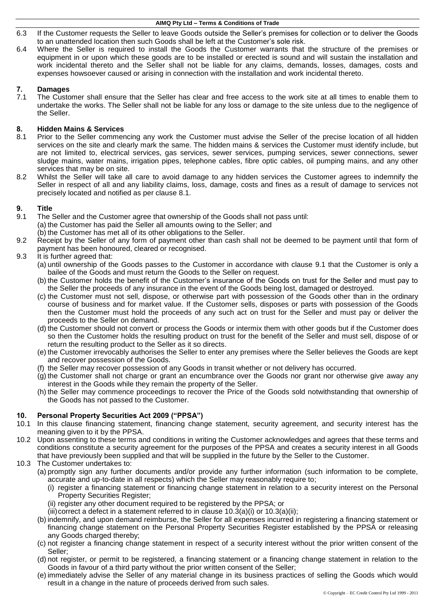#### **AIMQ Pty Ltd – Terms & Conditions of Trade**

- 6.3 If the Customer requests the Seller to leave Goods outside the Seller's premises for collection or to deliver the Goods to an unattended location then such Goods shall be left at the Customer's sole risk.
- 6.4 Where the Seller is required to install the Goods the Customer warrants that the structure of the premises or equipment in or upon which these goods are to be installed or erected is sound and will sustain the installation and work incidental thereto and the Seller shall not be liable for any claims, demands, losses, damages, costs and expenses howsoever caused or arising in connection with the installation and work incidental thereto.

# **7. Damages**

The Customer shall ensure that the Seller has clear and free access to the work site at all times to enable them to undertake the works. The Seller shall not be liable for any loss or damage to the site unless due to the negligence of the Seller.

# **8. Hidden Mains & Services**

- <span id="page-1-0"></span>8.1 Prior to the Seller commencing any work the Customer must advise the Seller of the precise location of all hidden services on the site and clearly mark the same. The hidden mains & services the Customer must identify include, but are not limited to, electrical services, gas services, sewer services, pumping services, sewer connections, sewer sludge mains, water mains, irrigation pipes, telephone cables, fibre optic cables, oil pumping mains, and any other services that may be on site.
- 8.2 Whilst the Seller will take all care to avoid damage to any hidden services the Customer agrees to indemnify the Seller in respect of all and any liability claims, loss, damage, costs and fines as a result of damage to services not precisely located and notified as per clause [8.1.](#page-1-0)

## **9. Title**

- <span id="page-1-1"></span>9.1 The Seller and the Customer agree that ownership of the Goods shall not pass until: (a) the Customer has paid the Seller all amounts owing to the Seller; and
	- (b) the Customer has met all of its other obligations to the Seller.
- 9.2 Receipt by the Seller of any form of payment other than cash shall not be deemed to be payment until that form of payment has been honoured, cleared or recognised.
- 9.3 It is further agreed that:
	- (a) until ownership of the Goods passes to the Customer in accordance with clause [9.1](#page-1-1) that the Customer is only a bailee of the Goods and must return the Goods to the Seller on request.
	- (b) the Customer holds the benefit of the Customer's insurance of the Goods on trust for the Seller and must pay to the Seller the proceeds of any insurance in the event of the Goods being lost, damaged or destroyed.
	- (c) the Customer must not sell, dispose, or otherwise part with possession of the Goods other than in the ordinary course of business and for market value. If the Customer sells, disposes or parts with possession of the Goods then the Customer must hold the proceeds of any such act on trust for the Seller and must pay or deliver the proceeds to the Seller on demand.
	- (d) the Customer should not convert or process the Goods or intermix them with other goods but if the Customer does so then the Customer holds the resulting product on trust for the benefit of the Seller and must sell, dispose of or return the resulting product to the Seller as it so directs.
	- (e) the Customer irrevocably authorises the Seller to enter any premises where the Seller believes the Goods are kept and recover possession of the Goods.
	- (f) the Seller may recover possession of any Goods in transit whether or not delivery has occurred.
	- (g) the Customer shall not charge or grant an encumbrance over the Goods nor grant nor otherwise give away any interest in the Goods while they remain the property of the Seller.
	- (h) the Seller may commence proceedings to recover the Price of the Goods sold notwithstanding that ownership of the Goods has not passed to the Customer.

## **10. Personal Property Securities Act 2009 ("PPSA")**

- 10.1 In this clause financing statement, financing change statement, security agreement, and security interest has the meaning given to it by the PPSA.
- 10.2 Upon assenting to these terms and conditions in writing the Customer acknowledges and agrees that these terms and conditions constitute a security agreement for the purposes of the PPSA and creates a security interest in all Goods that have previously been supplied and that will be supplied in the future by the Seller to the Customer.
- <span id="page-1-4"></span><span id="page-1-3"></span><span id="page-1-2"></span>10.3 The Customer undertakes to:
	- (a) promptly sign any further documents and/or provide any further information (such information to be complete, accurate and up-to-date in all respects) which the Seller may reasonably require to;
		- (i) register a financing statement or financing change statement in relation to a security interest on the Personal Property Securities Register;
		- (ii) register any other document required to be registered by the PPSA; or
		- (iii)correct a defect in a statement referred to in clause  $10.3(a)(i)$  $10.3(a)(i)$  or  $10.3(a)(ii)$ ;
	- (b) indemnify, and upon demand reimburse, the Seller for all expenses incurred in registering a financing statement or financing change statement on the Personal Property Securities Register established by the PPSA or releasing any Goods charged thereby;
	- (c) not register a financing change statement in respect of a security interest without the prior written consent of the Seller;
	- (d) not register, or permit to be registered, a financing statement or a financing change statement in relation to the Goods in favour of a third party without the prior written consent of the Seller;
	- (e) immediately advise the Seller of any material change in its business practices of selling the Goods which would result in a change in the nature of proceeds derived from such sales.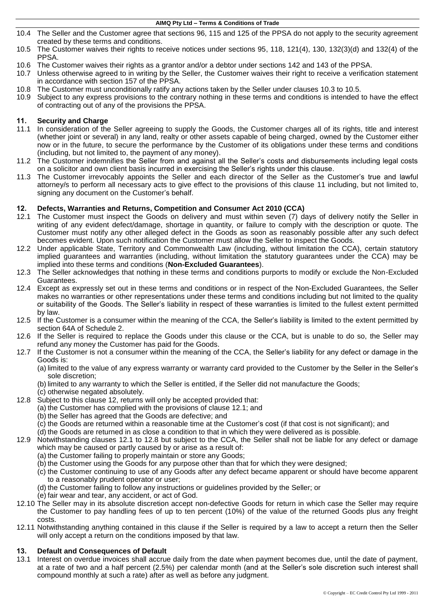#### **AIMQ Pty Ltd – Terms & Conditions of Trade**

- 10.4 The Seller and the Customer agree that sections 96, 115 and 125 of the PPSA do not apply to the security agreement created by these terms and conditions.
- <span id="page-2-0"></span>10.5 The Customer waives their rights to receive notices under sections 95, 118, 121(4), 130, 132(3)(d) and 132(4) of the PPSA.
- 10.6 The Customer waives their rights as a grantor and/or a debtor under sections 142 and 143 of the PPSA.
- 10.7 Unless otherwise agreed to in writing by the Seller, the Customer waives their right to receive a verification statement in accordance with section 157 of the PPSA.
- 10.8 The Customer must unconditionally ratify any actions taken by the Seller under clauses [10.3](#page-1-2) to [10.5.](#page-2-0)
- 10.9 Subject to any express provisions to the contrary nothing in these terms and conditions is intended to have the effect of contracting out of any of the provisions the PPSA.

## <span id="page-2-1"></span>**11. Security and Charge**

- 11.1 In consideration of the Seller agreeing to supply the Goods, the Customer charges all of its rights, title and interest (whether joint or several) in any land, realty or other assets capable of being charged, owned by the Customer either now or in the future, to secure the performance by the Customer of its obligations under these terms and conditions (including, but not limited to, the payment of any money).
- 11.2 The Customer indemnifies the Seller from and against all the Seller's costs and disbursements including legal costs on a solicitor and own client basis incurred in exercising the Seller's rights under this clause.
- 11.3 The Customer irrevocably appoints the Seller and each director of the Seller as the Customer's true and lawful attorney/s to perform all necessary acts to give effect to the provisions of this clause [11](#page-2-1) including, but not limited to, signing any document on the Customer's behalf.

# <span id="page-2-2"></span>**12. Defects, Warranties and Returns, Competition and Consumer Act 2010 (CCA)**

- <span id="page-2-3"></span>The Customer must inspect the Goods on delivery and must within seven (7) days of delivery notify the Seller in writing of any evident defect/damage, shortage in quantity, or failure to comply with the description or quote. The Customer must notify any other alleged defect in the Goods as soon as reasonably possible after any such defect becomes evident. Upon such notification the Customer must allow the Seller to inspect the Goods.
- 12.2 Under applicable State, Territory and Commonwealth Law (including, without limitation the CCA), certain statutory implied guarantees and warranties (including, without limitation the statutory guarantees under the CCA) may be implied into these terms and conditions (**Non-Excluded Guarantees**).
- 12.3 The Seller acknowledges that nothing in these terms and conditions purports to modify or exclude the Non-Excluded Guarantees.
- 12.4 Except as expressly set out in these terms and conditions or in respect of the Non-Excluded Guarantees, the Seller makes no warranties or other representations under these terms and conditions including but not limited to the quality or suitability of the Goods. The Seller's liability in respect of these warranties is limited to the fullest extent permitted by law.
- 12.5 If the Customer is a consumer within the meaning of the CCA, the Seller's liability is limited to the extent permitted by section 64A of Schedule 2.
- 12.6 If the Seller is required to replace the Goods under this clause or the CCA, but is unable to do so, the Seller may refund any money the Customer has paid for the Goods.
- 12.7 If the Customer is not a consumer within the meaning of the CCA, the Seller's liability for any defect or damage in the Goods is:
	- (a) limited to the value of any express warranty or warranty card provided to the Customer by the Seller in the Seller's sole discretion;
	- (b) limited to any warranty to which the Seller is entitled, if the Seller did not manufacture the Goods;
	- (c) otherwise negated absolutely.
- <span id="page-2-4"></span>12.8 Subject to this clause [12,](#page-2-2) returns will only be accepted provided that:
	- (a) the Customer has complied with the provisions of clause [12.1;](#page-2-3) and
	- (b) the Seller has agreed that the Goods are defective; and
	- (c) the Goods are returned within a reasonable time at the Customer's cost (if that cost is not significant); and
	- (d) the Goods are returned in as close a condition to that in which they were delivered as is possible.
- 12.9 Notwithstanding clauses [12.1](#page-2-3) to [12.8](#page-2-4) but subject to the CCA, the Seller shall not be liable for any defect or damage which may be caused or partly caused by or arise as a result of:
	- (a) the Customer failing to properly maintain or store any Goods;
	- (b) the Customer using the Goods for any purpose other than that for which they were designed;
	- (c) the Customer continuing to use of any Goods after any defect became apparent or should have become apparent to a reasonably prudent operator or user;
	- (d) the Customer failing to follow any instructions or guidelines provided by the Seller; or
	- (e) fair wear and tear, any accident, or act of God.
- 12.10 The Seller may in its absolute discretion accept non-defective Goods for return in which case the Seller may require the Customer to pay handling fees of up to ten percent (10%) of the value of the returned Goods plus any freight costs.
- 12.11 Notwithstanding anything contained in this clause if the Seller is required by a law to accept a return then the Seller will only accept a return on the conditions imposed by that law.

## **13. Default and Consequences of Default**

13.1 Interest on overdue invoices shall accrue daily from the date when payment becomes due, until the date of payment, at a rate of two and a half percent (2.5%) per calendar month (and at the Seller's sole discretion such interest shall compound monthly at such a rate) after as well as before any judgment.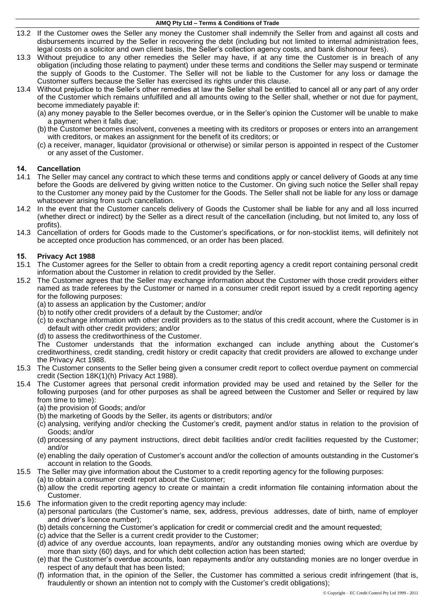- 13.2 If the Customer owes the Seller any money the Customer shall indemnify the Seller from and against all costs and disbursements incurred by the Seller in recovering the debt (including but not limited to internal administration fees, legal costs on a solicitor and own client basis, the Seller's collection agency costs, and bank dishonour fees).
- 13.3 Without prejudice to any other remedies the Seller may have, if at any time the Customer is in breach of any obligation (including those relating to payment) under these terms and conditions the Seller may suspend or terminate the supply of Goods to the Customer. The Seller will not be liable to the Customer for any loss or damage the Customer suffers because the Seller has exercised its rights under this clause.
- 13.4 Without prejudice to the Seller's other remedies at law the Seller shall be entitled to cancel all or any part of any order of the Customer which remains unfulfilled and all amounts owing to the Seller shall, whether or not due for payment, become immediately payable if:
	- (a) any money payable to the Seller becomes overdue, or in the Seller's opinion the Customer will be unable to make a payment when it falls due;
	- (b) the Customer becomes insolvent, convenes a meeting with its creditors or proposes or enters into an arrangement with creditors, or makes an assignment for the benefit of its creditors; or
	- (c) a receiver, manager, liquidator (provisional or otherwise) or similar person is appointed in respect of the Customer or any asset of the Customer.

# **14. Cancellation**

- The Seller may cancel any contract to which these terms and conditions apply or cancel delivery of Goods at any time before the Goods are delivered by giving written notice to the Customer. On giving such notice the Seller shall repay to the Customer any money paid by the Customer for the Goods. The Seller shall not be liable for any loss or damage whatsoever arising from such cancellation.
- 14.2 In the event that the Customer cancels delivery of Goods the Customer shall be liable for any and all loss incurred (whether direct or indirect) by the Seller as a direct result of the cancellation (including, but not limited to, any loss of profits).
- 14.3 Cancellation of orders for Goods made to the Customer's specifications, or for non-stocklist items, will definitely not be accepted once production has commenced, or an order has been placed.

## **15. Privacy Act 1988**

- 15.1 The Customer agrees for the Seller to obtain from a credit reporting agency a credit report containing personal credit information about the Customer in relation to credit provided by the Seller.
- 15.2 The Customer agrees that the Seller may exchange information about the Customer with those credit providers either named as trade referees by the Customer or named in a consumer credit report issued by a credit reporting agency for the following purposes:
	- (a) to assess an application by the Customer; and/or
	- (b) to notify other credit providers of a default by the Customer; and/or
	- (c) to exchange information with other credit providers as to the status of this credit account, where the Customer is in default with other credit providers; and/or
	- (d) to assess the creditworthiness of the Customer.

The Customer understands that the information exchanged can include anything about the Customer's creditworthiness, credit standing, credit history or credit capacity that credit providers are allowed to exchange under the Privacy Act 1988.

- 15.3 The Customer consents to the Seller being given a consumer credit report to collect overdue payment on commercial credit (Section 18K(1)(h) Privacy Act 1988).
- 15.4 The Customer agrees that personal credit information provided may be used and retained by the Seller for the following purposes (and for other purposes as shall be agreed between the Customer and Seller or required by law from time to time):

(a) the provision of Goods; and/or

- (b) the marketing of Goods by the Seller, its agents or distributors; and/or
- (c) analysing, verifying and/or checking the Customer's credit, payment and/or status in relation to the provision of Goods; and/or
- (d) processing of any payment instructions, direct debit facilities and/or credit facilities requested by the Customer; and/or
- (e) enabling the daily operation of Customer's account and/or the collection of amounts outstanding in the Customer's account in relation to the Goods.
- 15.5 The Seller may give information about the Customer to a credit reporting agency for the following purposes:
	- (a) to obtain a consumer credit report about the Customer;
		- (b) allow the credit reporting agency to create or maintain a credit information file containing information about the Customer.
- 15.6 The information given to the credit reporting agency may include:
	- (a) personal particulars (the Customer's name, sex, address, previous addresses, date of birth, name of employer and driver's licence number);
	- (b) details concerning the Customer's application for credit or commercial credit and the amount requested;
	- (c) advice that the Seller is a current credit provider to the Customer;
	- (d) advice of any overdue accounts, loan repayments, and/or any outstanding monies owing which are overdue by more than sixty (60) days, and for which debt collection action has been started;
	- (e) that the Customer's overdue accounts, loan repayments and/or any outstanding monies are no longer overdue in respect of any default that has been listed;
	- (f) information that, in the opinion of the Seller, the Customer has committed a serious credit infringement (that is, fraudulently or shown an intention not to comply with the Customer's credit obligations);